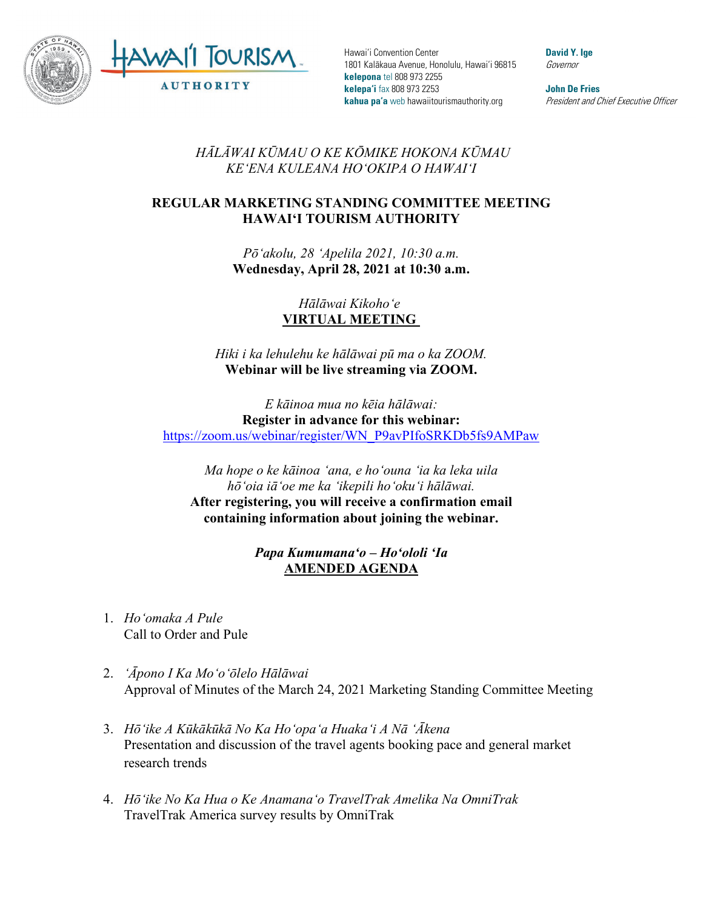

Hawai'i Convention Center 1801 Kalākaua Avenue, Honolulu, Hawai'i 96815 **kelepona** tel 808 973 2255 **kelepa'i** fax 808 973 2253 **kahua pa'a** web hawaiitourismauthority.org

**David Y. Ige** Governor

**John De Fries** President and Chief Executive Officer

## *HĀLĀWAI KŪMAU O KE KŌMIKE HOKONA KŪMAU KEʻENA KULEANA HOʻOKIPA O HAWAIʻI*

## **REGULAR MARKETING STANDING COMMITTEE MEETING HAWAI'I TOURISM AUTHORITY**

*Pōʻakolu, 28 ʻApelila 2021, 10:30 a.m.*  **Wednesday, April 28, 2021 at 10:30 a.m.**

> *Hālāwai Kikohoʻe* **VIRTUAL MEETING**

*Hiki i ka lehulehu ke hālāwai pū ma o ka ZOOM.* **Webinar will be live streaming via ZOOM.**

*E kāinoa mua no kēia hālāwai:* **Register in advance for this webinar:** [https://zoom.us/webinar/register/WN\\_P9avPIfoSRKDb5fs9AMPaw](https://zoom.us/webinar/register/WN_P9avPIfoSRKDb5fs9AMPaw)

*Ma hope o ke kāinoa ʻana, e hoʻouna ʻia ka leka uila hōʻoia iāʻoe me ka ʻikepili hoʻokuʻi hālāwai.*  **After registering, you will receive a confirmation email containing information about joining the webinar.**

> *Papa Kumumanaʻo – Hoʻololi ʻIa* **AMENDED AGENDA**

- 1. *Hoʻomaka A Pule* Call to Order and Pule
- 2. *ʻĀpono I Ka Moʻoʻōlelo Hālāwai* Approval of Minutes of the March 24, 2021 Marketing Standing Committee Meeting
- 3. *Hōʻike A Kūkākūkā No Ka Hoʻopaʻa Huakaʻi A Nā ʻĀkena* Presentation and discussion of the travel agents booking pace and general market research trends
- 4. *Hōʻike No Ka Hua o Ke Anamanaʻo TravelTrak Amelika Na OmniTrak* TravelTrak America survey results by OmniTrak